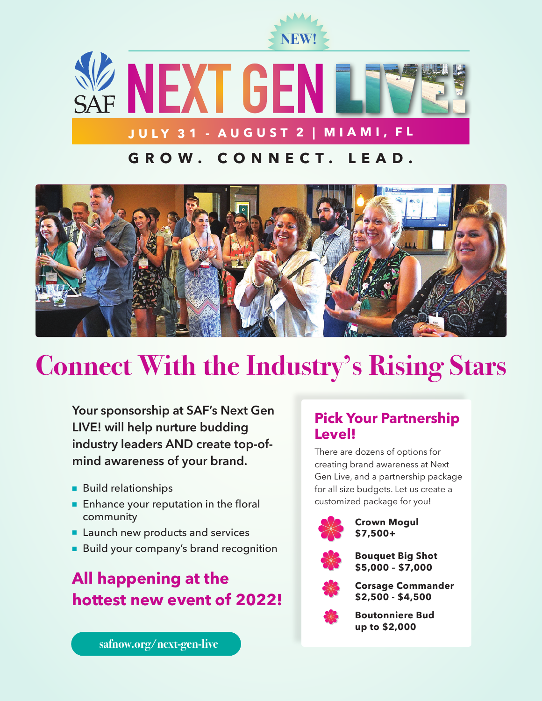

**NEXT GEN JULY 31 - AUGUST 2 | MIAMI, FL**

# **G R O W . C O N N E C T . L E A D .**



# **Connect With the Industry's Rising Stars**

**Your sponsorship at SAF's Next Gen LIVE! will help nurture budding industry leaders AND create top-ofmind awareness of your brand.**

- Build relationships
- Enhance your reputation in the floral community
- Launch new products and services
- Build your company's brand recognition

# **All happening at the hottest new event of 2022!**

### **Pick Your Partnership Level!**

There are dozens of options for creating brand awareness at Next Gen Live, and a partnership package for all size budgets. Let us create a customized package for you!



**Crown Mogul \$7,500+**



**Bouquet Big Shot \$5,000 – \$7,000**



**Corsage Commander \$2,500 - \$4,500**



**Boutonniere Bud up to \$2,000**

**[safnow.org/next-gen-live](https://safnow.org/events-education/next-gen-live/)**